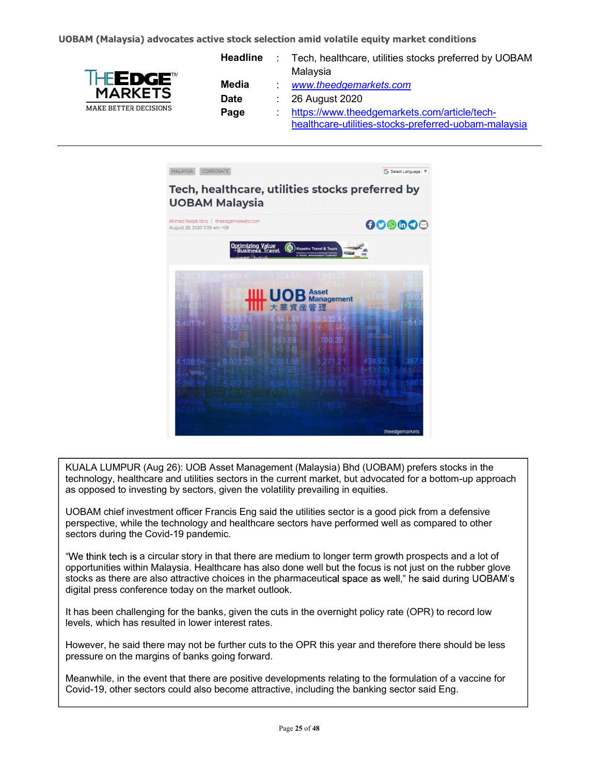

| <b>Headline</b> | Tech, healthcare, utilities stocks preferred by UOBAM<br>Malaysia |
|-----------------|-------------------------------------------------------------------|
| Media           | www.theedgemarkets.com                                            |
|                 |                                                                   |
| <b>Date</b>     | $\therefore$ 26 August 2020                                       |
| Page            | https://www.theedgemarkets.com/article/tech-                      |
|                 | healthcare-utilities-stocks-preferred-uobam-malaysia              |



KUALA LUMPUR (Aug 26): UOB Asset Management (Malaysia) Bhd (UOBAM) prefers stocks in the technology, healthcare and utilities sectors in the current market, but advocated for a bottom-up approach as opposed to investing by sectors, given the volatility prevailing in equities.

UOBAM chief investment officer Francis Eng said the utilities sector is a good pick from a defensive perspective, while the technology and healthcare sectors have performed well as compared to other sectors during the Covid-19 pandemic.

"We think tech is a circular story in that there are medium to longer term growth prospects and a lot of opportunities within Malaysia. Healthcare has also done well but the focus is not just on the rubber glove stocks as there are also attractive choices in the pharmaceutical space as well," he said during UOBAM's digital press conference today on the market outlook.

It has been challenging for the banks, given the cuts in the overnight policy rate (OPR) to record low levels, which has resulted in lower interest rates.

However, he said there may not be further cuts to the OPR this year and therefore there should be less pressure on the margins of banks going forward.

Meanwhile, in the event that there are positive developments relating to the formulation of a vaccine for Covid-19, other sectors could also become attractive, including the banking sector said Eng.